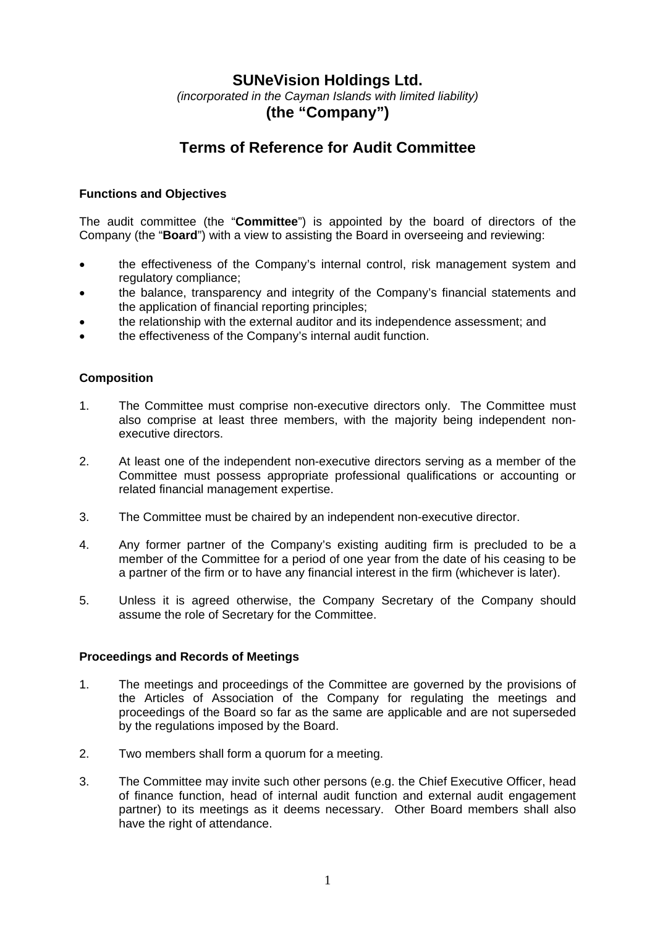# **SUNeVision Holdings Ltd.**

*(incorporated in the Cayman Islands with limited liability)*  **(the "Company")** 

# **Terms of Reference for Audit Committee**

# **Functions and Objectives**

The audit committee (the "**Committee**") is appointed by the board of directors of the Company (the "**Board**") with a view to assisting the Board in overseeing and reviewing:

- the effectiveness of the Company's internal control, risk management system and regulatory compliance;
- the balance, transparency and integrity of the Company's financial statements and the application of financial reporting principles;
- the relationship with the external auditor and its independence assessment; and
- the effectiveness of the Company's internal audit function.

# **Composition**

- 1. The Committee must comprise non-executive directors only. The Committee must also comprise at least three members, with the majority being independent nonexecutive directors.
- 2. At least one of the independent non-executive directors serving as a member of the Committee must possess appropriate professional qualifications or accounting or related financial management expertise.
- 3. The Committee must be chaired by an independent non-executive director.
- 4. Any former partner of the Company's existing auditing firm is precluded to be a member of the Committee for a period of one year from the date of his ceasing to be a partner of the firm or to have any financial interest in the firm (whichever is later).
- 5. Unless it is agreed otherwise, the Company Secretary of the Company should assume the role of Secretary for the Committee.

#### **Proceedings and Records of Meetings**

- 1. The meetings and proceedings of the Committee are governed by the provisions of the Articles of Association of the Company for regulating the meetings and proceedings of the Board so far as the same are applicable and are not superseded by the regulations imposed by the Board.
- 2. Two members shall form a quorum for a meeting.
- 3. The Committee may invite such other persons (e.g. the Chief Executive Officer, head of finance function, head of internal audit function and external audit engagement partner) to its meetings as it deems necessary. Other Board members shall also have the right of attendance.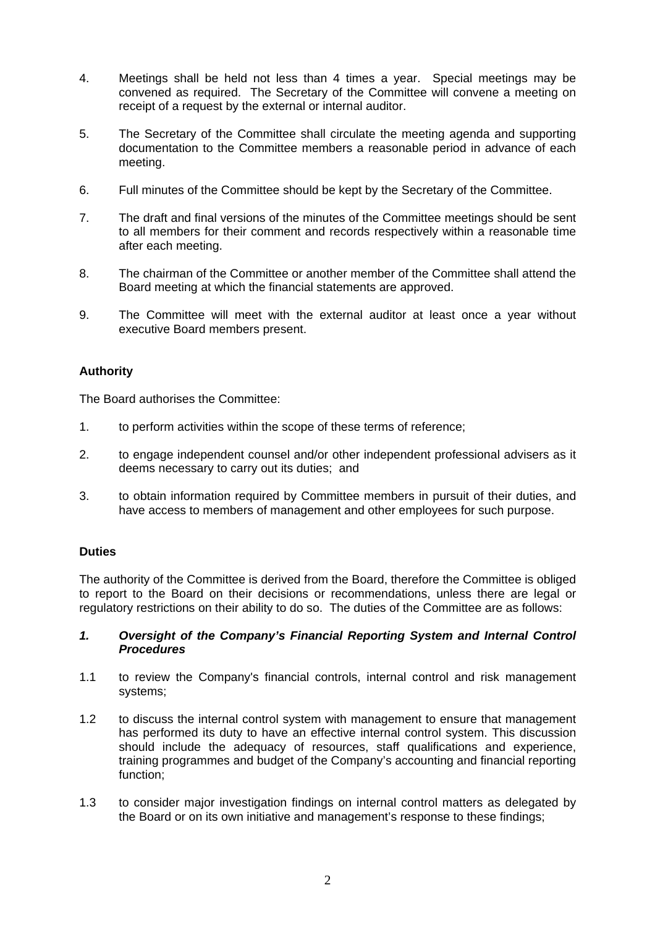- 4. Meetings shall be held not less than 4 times a year. Special meetings may be convened as required. The Secretary of the Committee will convene a meeting on receipt of a request by the external or internal auditor.
- 5. The Secretary of the Committee shall circulate the meeting agenda and supporting documentation to the Committee members a reasonable period in advance of each meeting.
- 6. Full minutes of the Committee should be kept by the Secretary of the Committee.
- 7. The draft and final versions of the minutes of the Committee meetings should be sent to all members for their comment and records respectively within a reasonable time after each meeting.
- 8. The chairman of the Committee or another member of the Committee shall attend the Board meeting at which the financial statements are approved.
- 9. The Committee will meet with the external auditor at least once a year without executive Board members present.

# **Authority**

The Board authorises the Committee:

- 1. to perform activities within the scope of these terms of reference;
- 2. to engage independent counsel and/or other independent professional advisers as it deems necessary to carry out its duties; and
- 3. to obtain information required by Committee members in pursuit of their duties, and have access to members of management and other employees for such purpose.

# **Duties**

The authority of the Committee is derived from the Board, therefore the Committee is obliged to report to the Board on their decisions or recommendations, unless there are legal or regulatory restrictions on their ability to do so. The duties of the Committee are as follows:

# *1. Oversight of the Company's Financial Reporting System and Internal Control Procedures*

- 1.1 to review the Company's financial controls, internal control and risk management systems;
- 1.2 to discuss the internal control system with management to ensure that management has performed its duty to have an effective internal control system. This discussion should include the adequacy of resources, staff qualifications and experience, training programmes and budget of the Company's accounting and financial reporting function;
- 1.3 to consider major investigation findings on internal control matters as delegated by the Board or on its own initiative and management's response to these findings;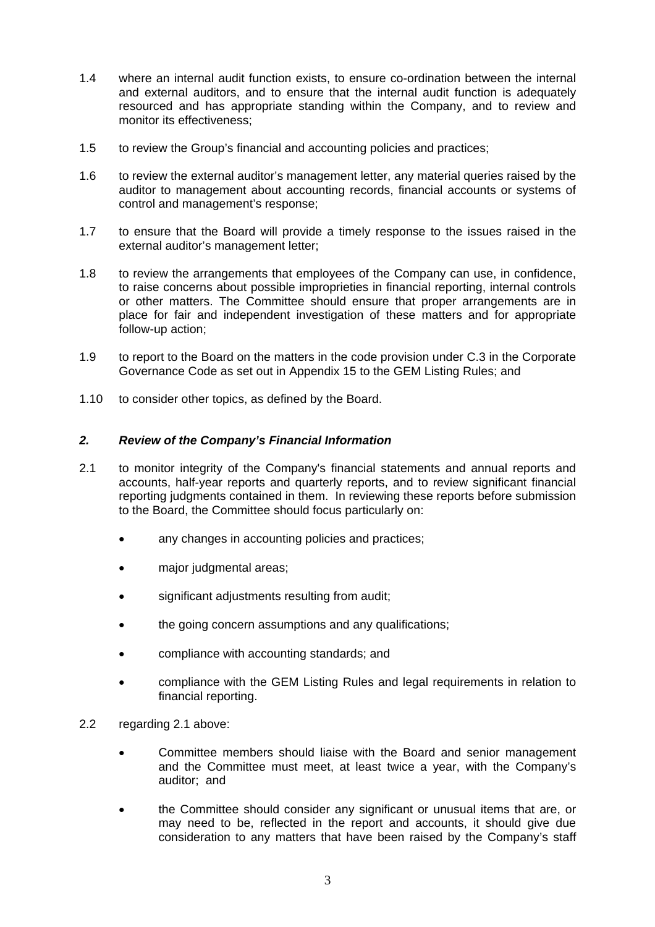- 1.4 where an internal audit function exists, to ensure co-ordination between the internal and external auditors, and to ensure that the internal audit function is adequately resourced and has appropriate standing within the Company, and to review and monitor its effectiveness;
- 1.5 to review the Group's financial and accounting policies and practices;
- 1.6 to review the external auditor's management letter, any material queries raised by the auditor to management about accounting records, financial accounts or systems of control and management's response;
- 1.7 to ensure that the Board will provide a timely response to the issues raised in the external auditor's management letter;
- 1.8 to review the arrangements that employees of the Company can use, in confidence, to raise concerns about possible improprieties in financial reporting, internal controls or other matters. The Committee should ensure that proper arrangements are in place for fair and independent investigation of these matters and for appropriate follow-up action;
- 1.9 to report to the Board on the matters in the code provision under C.3 in the Corporate Governance Code as set out in Appendix 15 to the GEM Listing Rules; and
- 1.10 to consider other topics, as defined by the Board.

# *2. Review of the Company's Financial Information*

- 2.1 to monitor integrity of the Company's financial statements and annual reports and accounts, half-year reports and quarterly reports, and to review significant financial reporting judgments contained in them. In reviewing these reports before submission to the Board, the Committee should focus particularly on:
	- any changes in accounting policies and practices;
	- major judgmental areas;
	- significant adjustments resulting from audit;
	- the going concern assumptions and any qualifications;
	- compliance with accounting standards; and
	- compliance with the GEM Listing Rules and legal requirements in relation to financial reporting.
- 2.2 regarding 2.1 above:
	- Committee members should liaise with the Board and senior management and the Committee must meet, at least twice a year, with the Company's auditor; and
	- the Committee should consider any significant or unusual items that are, or may need to be, reflected in the report and accounts, it should give due consideration to any matters that have been raised by the Company's staff